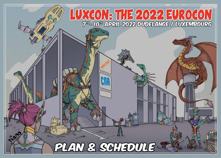

V & CALEDU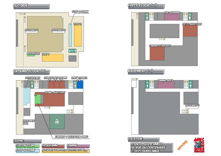# **OUTSIDE**



## GROUND FLOOR (O)



### FUSST FLOOR (FI)



# **CASEMENT (FI)**





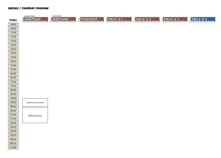| <b>TIMES</b>   | <b>ERAND</b><br><b>AUDITOIRE</b> | <b>PETIT</b><br>AUDITOIRE | <b>STARLIGHT</b> | SALLE 0.1 | SALLE 0.2 | SALLE 0.3 | SALLE 0.4 |
|----------------|----------------------------------|---------------------------|------------------|-----------|-----------|-----------|-----------|
|                |                                  |                           |                  |           |           |           |           |
| 10h00<br>10h30 |                                  |                           |                  |           |           |           |           |
| 11h00          |                                  |                           |                  |           |           |           |           |
| 11h30          |                                  |                           |                  |           |           |           |           |
| 12h00          |                                  |                           |                  |           |           |           |           |
| 12h30          |                                  |                           |                  |           |           |           |           |
| 13h00          |                                  |                           |                  |           |           |           |           |
| 13h30          |                                  |                           |                  |           |           |           |           |
| 14h00          |                                  |                           |                  |           |           |           |           |
| 14h30          |                                  |                           |                  |           |           |           |           |
| 15h00          |                                  |                           |                  |           |           |           |           |
| 15h30          |                                  |                           |                  |           |           |           |           |
| 16h00          |                                  |                           |                  |           |           |           |           |
| 16h30          |                                  |                           |                  |           |           |           |           |
| 17h00          |                                  |                           |                  |           |           |           |           |
| 17h30          |                                  |                           |                  |           |           |           |           |
| 18h00          |                                  |                           |                  |           |           |           |           |
| 18h30          |                                  |                           |                  |           |           |           |           |
| 19h00          |                                  |                           |                  |           |           |           |           |
| 19h30          | <b>Opening Ceremony</b>          |                           |                  |           |           |           |           |
| 20h00          |                                  |                           |                  |           |           |           |           |
| 20h30          |                                  |                           |                  |           |           |           |           |
| 21h00          | <b>Walking Dinner</b>            |                           |                  |           |           |           |           |
| 21h30          |                                  |                           |                  |           |           |           |           |
| 22h00          |                                  |                           |                  |           |           |           |           |
| 22h30          |                                  |                           |                  |           |           |           |           |
| 23h00          |                                  |                           |                  |           |           |           |           |
| 23h30          |                                  |                           |                  |           |           |           |           |
| 00h00          |                                  |                           |                  |           |           |           |           |
| 00h30          |                                  |                           |                  |           |           |           |           |
| 01h00          |                                  |                           |                  |           |           |           |           |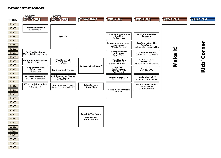#### SHEDULE / Friday Program

20h00 20h30 21h00 21h30 22h00 22h30 23h0023h30 00h00 00h30 01h00



**Tune Into The Future with directorEric Schockmel**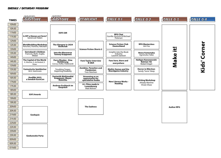